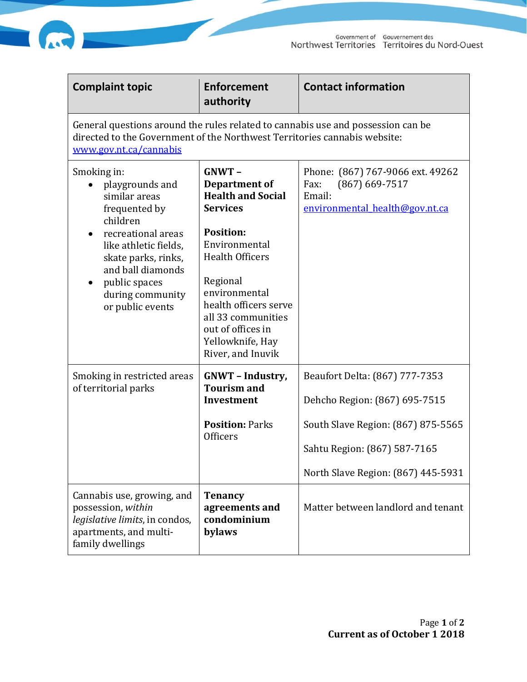

| n |  |
|---|--|

| <b>Complaint topic</b>                                                                                                                                                                                                                                     | <b>Enforcement</b><br>authority                                                                                                                                                                                                                                                   | <b>Contact information</b>                                                                                                            |  |  |
|------------------------------------------------------------------------------------------------------------------------------------------------------------------------------------------------------------------------------------------------------------|-----------------------------------------------------------------------------------------------------------------------------------------------------------------------------------------------------------------------------------------------------------------------------------|---------------------------------------------------------------------------------------------------------------------------------------|--|--|
| General questions around the rules related to cannabis use and possession can be<br>directed to the Government of the Northwest Territories cannabis website:<br>www.gov.nt.ca/cannabis                                                                    |                                                                                                                                                                                                                                                                                   |                                                                                                                                       |  |  |
| Smoking in:<br>playgrounds and<br>$\bullet$<br>similar areas<br>frequented by<br>children<br>recreational areas<br>like athletic fields,<br>skate parks, rinks,<br>and ball diamonds<br>public spaces<br>$\bullet$<br>during community<br>or public events | $GNWT -$<br>Department of<br><b>Health and Social</b><br><b>Services</b><br><b>Position:</b><br>Environmental<br><b>Health Officers</b><br>Regional<br>environmental<br>health officers serve<br>all 33 communities<br>out of offices in<br>Yellowknife, Hay<br>River, and Inuvik | Phone: (867) 767-9066 ext. 49262<br>$(867)$ 669-7517<br>Fax:<br>Email:<br>environmental health@gov.nt.ca                              |  |  |
| Smoking in restricted areas<br>of territorial parks                                                                                                                                                                                                        | <b>GNWT</b> - Industry,<br><b>Tourism and</b><br>Investment<br><b>Position: Parks</b><br><b>Officers</b>                                                                                                                                                                          | Beaufort Delta: (867) 777-7353<br>Dehcho Region: (867) 695-7515<br>South Slave Region: (867) 875-5565<br>Sahtu Region: (867) 587-7165 |  |  |
|                                                                                                                                                                                                                                                            |                                                                                                                                                                                                                                                                                   | North Slave Region: (867) 445-5931                                                                                                    |  |  |
| Cannabis use, growing, and<br>possession, within<br>legislative limits, in condos,<br>apartments, and multi-<br>family dwellings                                                                                                                           | <b>Tenancy</b><br>agreements and<br>condominium<br>bylaws                                                                                                                                                                                                                         | Matter between landlord and tenant                                                                                                    |  |  |

一

**Contract Contract Contract Contract Contract Contract Contract Contract Contract Contract Contract Contract C**